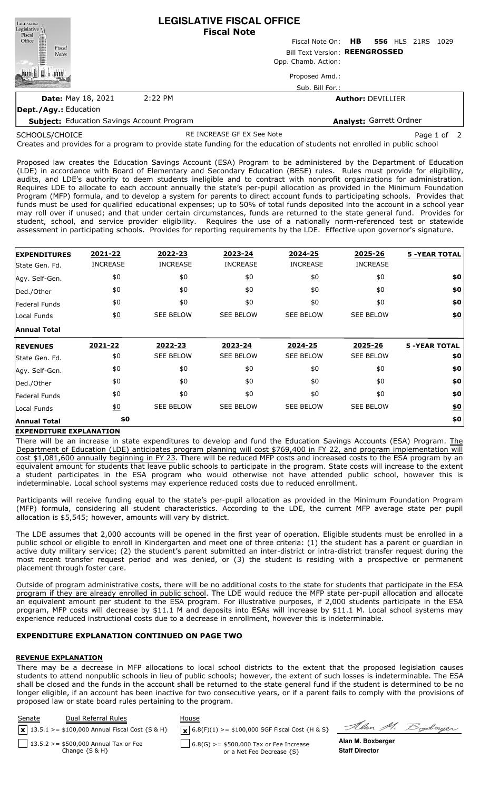| Louisiana<br>Legislative <sup>1</sup>             | <b>LEGISLATIVE FISCAL OFFICE</b><br><b>Fiscal Note</b> |                     |                                      |  |  |  |  |
|---------------------------------------------------|--------------------------------------------------------|---------------------|--------------------------------------|--|--|--|--|
| Fiscal<br>Office                                  |                                                        |                     | Fiscal Note On: HB 556 HLS 21RS 1029 |  |  |  |  |
| Fiscal<br><b>Notes</b>                            | Bill Text Version: REENGROSSED                         |                     |                                      |  |  |  |  |
|                                                   |                                                        | Opp. Chamb. Action: |                                      |  |  |  |  |
|                                                   |                                                        | Proposed Amd.:      |                                      |  |  |  |  |
|                                                   |                                                        | Sub. Bill For.:     |                                      |  |  |  |  |
| <b>Date: May 18, 2021</b>                         | 2:22 PM                                                |                     | <b>Author: DEVILLIER</b>             |  |  |  |  |
| Dept./Agy.: Education                             |                                                        |                     |                                      |  |  |  |  |
| <b>Subject:</b> Education Savings Account Program |                                                        |                     | Analyst: Garrett Ordner              |  |  |  |  |

SCHOOLS/CHOICE

RE INCREASE GF EX See Note **Page 1 of 2** 

Soderger

Creates and provides for a program to provide state funding for the education of students not enrolled in public school

Proposed law creates the Education Savings Account (ESA) Program to be administered by the Department of Education (LDE) in accordance with Board of Elementary and Secondary Education (BESE) rules. Rules must provide for eligibility, audits, and LDE's authority to deem students ineligible and to contract with nonprofit organizations for administration. Requires LDE to allocate to each account annually the state's per-pupil allocation as provided in the Minimum Foundation Program (MFP) formula, and to develop a system for parents to direct account funds to participating schools. Provides that funds must be used for qualified educational expenses; up to 50% of total funds deposited into the account in a school year may roll over if unused; and that under certain circumstances, funds are returned to the state general fund. Provides for student, school, and service provider eligibility. Requires the use of a nationally norm-referenced test or statewide assessment in participating schools. Provides for reporting requirements by the LDE. Effective upon governor's signature.

| <b>EXPENDITURES</b>               | 2021-22          | 2022-23          | 2023-24          | 2024-25          | 2025-26          | <b>5 -YEAR TOTAL</b> |
|-----------------------------------|------------------|------------------|------------------|------------------|------------------|----------------------|
| State Gen. Fd.                    | <b>INCREASE</b>  | <b>INCREASE</b>  | <b>INCREASE</b>  | <b>INCREASE</b>  | <b>INCREASE</b>  |                      |
| Agy. Self-Gen.                    | \$0              | \$0              | \$0              | \$0              | \$0              | \$0                  |
| Ded./Other                        | \$0              | \$0              | \$0              | \$0              | \$0              | \$0                  |
| Federal Funds                     | \$0              | \$0              | \$0              | \$0              | \$0              | \$0                  |
| Local Funds                       | $\underline{50}$ | <b>SEE BELOW</b> | <b>SEE BELOW</b> | <b>SEE BELOW</b> | <b>SEE BELOW</b> | \$0                  |
| <b>Annual Total</b>               |                  |                  |                  |                  |                  |                      |
|                                   |                  | 2022-23          | 2023-24          | 2024-25          | 2025-26          | <b>5 -YEAR TOTAL</b> |
|                                   | 2021-22          |                  |                  |                  |                  |                      |
| <b>REVENUES</b><br>State Gen. Fd. | \$0              | <b>SEE BELOW</b> | <b>SEE BELOW</b> | <b>SEE BELOW</b> | <b>SEE BELOW</b> | \$0                  |
| Agy. Self-Gen.                    | \$0              | \$0              | \$0              | \$0              | \$0              | \$0                  |
| Ded./Other                        | \$0              | \$0              | \$0              | \$0              | \$0              | \$0                  |
| Federal Funds                     | \$0              | \$0              | \$0              | \$0              | \$0              | \$0                  |
| Local Funds                       | $\underline{50}$ | <b>SEE BELOW</b> | <b>SEE BELOW</b> | <b>SEE BELOW</b> | <b>SEE BELOW</b> | \$0                  |

### **EXPENDITURE EXPLANATION**

There will be an increase in state expenditures to develop and fund the Education Savings Accounts (ESA) Program. The Department of Education (LDE) anticipates program planning will cost \$769,400 in FY 22, and program implementation will cost \$1,081,600 annually beginning in FY 23. There will be reduced MFP costs and increased costs to the ESA program by an equivalent amount for students that leave public schools to participate in the program. State costs will increase to the extent a student participates in the ESA program who would otherwise not have attended public school, however this is indeterminable. Local school systems may experience reduced costs due to reduced enrollment.

Participants will receive funding equal to the state's per-pupil allocation as provided in the Minimum Foundation Program (MFP) formula, considering all student characteristics. According to the LDE, the current MFP average state per pupil allocation is \$5,545; however, amounts will vary by district.

The LDE assumes that 2,000 accounts will be opened in the first year of operation. Eligible students must be enrolled in a public school or eligible to enroll in Kindergarten and meet one of three criteria: (1) the student has a parent or guardian in active duty military service; (2) the student's parent submitted an inter-district or intra-district transfer request during the most recent transfer request period and was denied, or (3) the student is residing with a prospective or permanent placement through foster care.

Outside of program administrative costs, there will be no additional costs to the state for students that participate in the ESA program if they are already enrolled in public school. The LDE would reduce the MFP state per-pupil allocation and allocate an equivalent amount per student to the ESA program. For illustrative purposes, if 2,000 students participate in the ESA program, MFP costs will decrease by \$11.1 M and deposits into ESAs will increase by \$11.1 M. Local school systems may experience reduced instructional costs due to a decrease in enrollment, however this is indeterminable.

## **EXPENDITURE EXPLANATION CONTINUED ON PAGE TWO**

### **REVENUE EXPLANATION**

There may be a decrease in MFP allocations to local school districts to the extent that the proposed legislation causes students to attend nonpublic schools in lieu of public schools; however, the extent of such losses is indeterminable. The ESA shall be closed and the funds in the account shall be returned to the state general fund if the student is determined to be no longer eligible, if an account has been inactive for two consecutive years, or if a parent fails to comply with the provisions of proposed law or state board rules pertaining to the program.

| Senate | Dual Referral Rules                                           | House                                                                  |                                            |
|--------|---------------------------------------------------------------|------------------------------------------------------------------------|--------------------------------------------|
|        | $\sqrt{x}$ 13.5.1 >= \$100,000 Annual Fiscal Cost {S & H}     | $\mathbf{X}$ 6.8(F)(1) >= \$100,000 SGF Fiscal Cost {H & S}            | Alan M. Z                                  |
|        | 13.5.2 > = \$500,000 Annual Tax or Fee<br>Change $\{S \& H\}$ | $6.8(G)$ >= \$500,000 Tax or Fee Increase<br>or a Net Fee Decrease {S} | Alan M. Boxberger<br><b>Staff Director</b> |